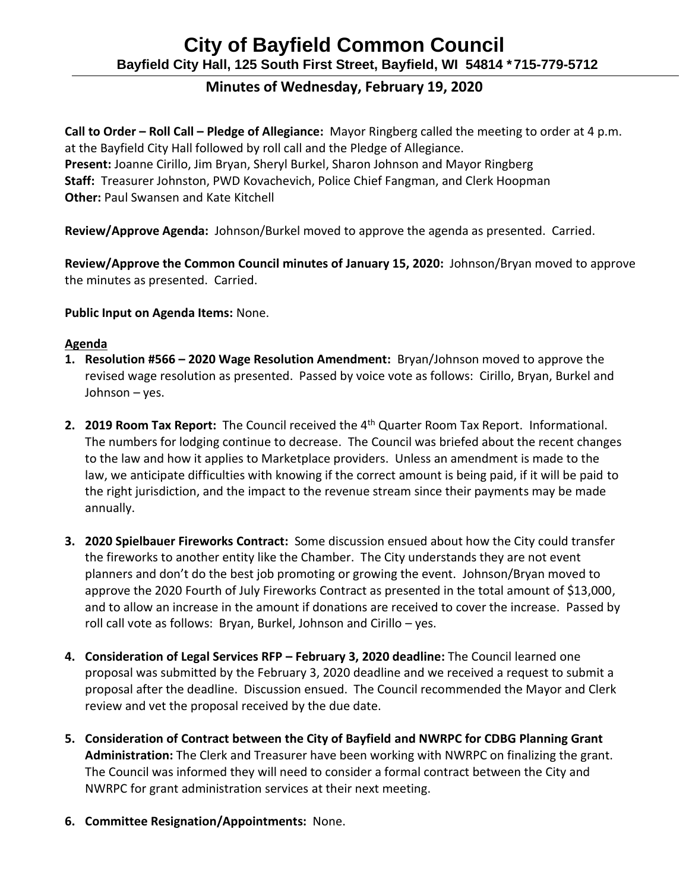# **City of Bayfield Common Council Bayfield City Hall, 125 South First Street, Bayfield, WI 54814 \*715-779-5712**

## **Minutes of Wednesday, February 19, 2020**

**Call to Order – Roll Call – Pledge of Allegiance:** Mayor Ringberg called the meeting to order at 4 p.m. at the Bayfield City Hall followed by roll call and the Pledge of Allegiance. **Present:** Joanne Cirillo, Jim Bryan, Sheryl Burkel, Sharon Johnson and Mayor Ringberg **Staff:** Treasurer Johnston, PWD Kovachevich, Police Chief Fangman, and Clerk Hoopman **Other:** Paul Swansen and Kate Kitchell

**Review/Approve Agenda:** Johnson/Burkel moved to approve the agenda as presented. Carried.

**Review/Approve the Common Council minutes of January 15, 2020:** Johnson/Bryan moved to approve the minutes as presented. Carried.

**Public Input on Agenda Items:** None.

#### **Agenda**

- **1. Resolution #566 – 2020 Wage Resolution Amendment:** Bryan/Johnson moved to approve the revised wage resolution as presented. Passed by voice vote as follows: Cirillo, Bryan, Burkel and Johnson – yes.
- **2. 2019 Room Tax Report:** The Council received the 4<sup>th</sup> Quarter Room Tax Report. Informational. The numbers for lodging continue to decrease. The Council was briefed about the recent changes to the law and how it applies to Marketplace providers. Unless an amendment is made to the law, we anticipate difficulties with knowing if the correct amount is being paid, if it will be paid to the right jurisdiction, and the impact to the revenue stream since their payments may be made annually.
- **3. 2020 Spielbauer Fireworks Contract:** Some discussion ensued about how the City could transfer the fireworks to another entity like the Chamber. The City understands they are not event planners and don't do the best job promoting or growing the event. Johnson/Bryan moved to approve the 2020 Fourth of July Fireworks Contract as presented in the total amount of \$13,000, and to allow an increase in the amount if donations are received to cover the increase. Passed by roll call vote as follows: Bryan, Burkel, Johnson and Cirillo – yes.
- **4. Consideration of Legal Services RFP – February 3, 2020 deadline:** The Council learned one proposal was submitted by the February 3, 2020 deadline and we received a request to submit a proposal after the deadline. Discussion ensued. The Council recommended the Mayor and Clerk review and vet the proposal received by the due date.
- **5. Consideration of Contract between the City of Bayfield and NWRPC for CDBG Planning Grant Administration:** The Clerk and Treasurer have been working with NWRPC on finalizing the grant. The Council was informed they will need to consider a formal contract between the City and NWRPC for grant administration services at their next meeting.
- **6. Committee Resignation/Appointments:** None.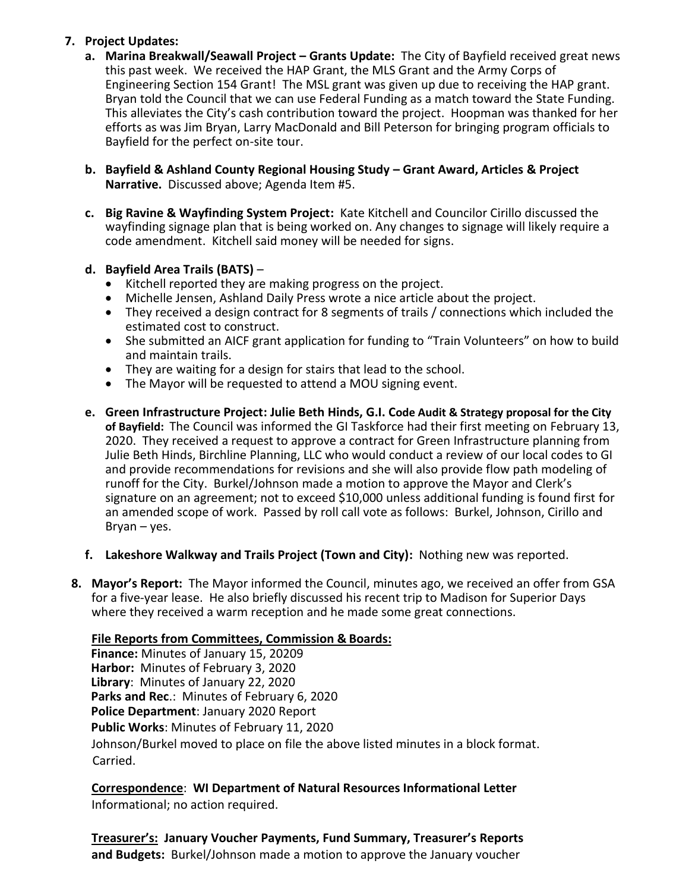### **7. Project Updates:**

- **a. Marina Breakwall/Seawall Project – Grants Update:** The City of Bayfield received great news this past week. We received the HAP Grant, the MLS Grant and the Army Corps of Engineering Section 154 Grant! The MSL grant was given up due to receiving the HAP grant. Bryan told the Council that we can use Federal Funding as a match toward the State Funding. This alleviates the City's cash contribution toward the project. Hoopman was thanked for her efforts as was Jim Bryan, Larry MacDonald and Bill Peterson for bringing program officials to Bayfield for the perfect on-site tour.
- **b. Bayfield & Ashland County Regional Housing Study – Grant Award, Articles & Project Narrative.** Discussed above; Agenda Item #5.
- **c. Big Ravine & Wayfinding System Project:** Kate Kitchell and Councilor Cirillo discussed the wayfinding signage plan that is being worked on. Any changes to signage will likely require a code amendment. Kitchell said money will be needed for signs.

#### **d. Bayfield Area Trails (BATS)** –

- Kitchell reported they are making progress on the project.<br>• Michelle Jensen, Ashland Daily Press wrote a nice article ab
- Michelle Jensen, Ashland Daily Press wrote a nice article about the project.
- They received a design contract for 8 segments of trails / connections which included the estimated cost to construct.
- She submitted an AICF grant application for funding to "Train Volunteers" on how to build and maintain trails.
- They are waiting for a design for stairs that lead to the school.
- The Mayor will be requested to attend a MOU signing event.
- **e. Green Infrastructure Project: Julie Beth Hinds, G.I. Code Audit & Strategy proposal for the City of Bayfield:** The Council was informed the GI Taskforce had their first meeting on February 13, 2020. They received a request to approve a contract for Green Infrastructure planning from Julie Beth Hinds, Birchline Planning, LLC who would conduct a review of our local codes to GI and provide recommendations for revisions and she will also provide flow path modeling of runoff for the City. Burkel/Johnson made a motion to approve the Mayor and Clerk's signature on an agreement; not to exceed \$10,000 unless additional funding is found first for an amended scope of work. Passed by roll call vote as follows: Burkel, Johnson, Cirillo and Bryan – yes.
- **f. Lakeshore Walkway and Trails Project (Town and City):** Nothing new was reported.
- **8. Mayor's Report:** The Mayor informed the Council, minutes ago, we received an offer from GSA for a five-year lease. He also briefly discussed his recent trip to Madison for Superior Days where they received a warm reception and he made some great connections.

#### **File Reports from Committees, Commission & Boards:**

**Finance:** Minutes of January 15, 20209 **Harbor:** Minutes of February 3, 2020 **Library**: Minutes of January 22, 2020 **Parks and Rec**.: Minutes of February 6, 2020 **Police Department**: January 2020 Report **Public Works**: Minutes of February 11, 2020 Johnson/Burkel moved to place on file the above listed minutes in a block format. Carried.

**Correspondence**: **WI Department of Natural Resources Informational Letter** Informational; no action required.

**Treasurer's: January Voucher Payments, Fund Summary, Treasurer's Reports and Budgets:** Burkel/Johnson made a motion to approve the January voucher